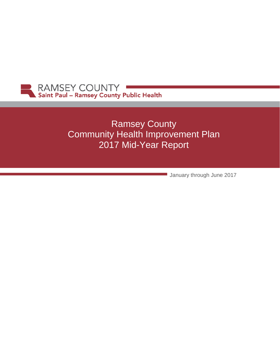

# Ramsey County Community Health Improvement Plan 2017 Mid-Year Report

January through June 2017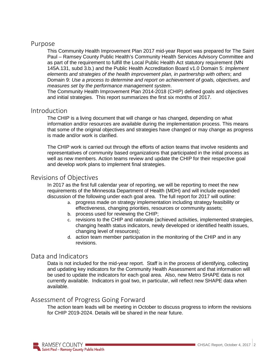#### Purpose

This Community Health Improvement Plan 2017 mid-year Report was prepared for The Saint Paul – Ramsey County Public Health's Community Health Services Advisory Committee and as part of the requirement to fulfill the Local Public Health Act statutory requirement (MN 145A.131, subd 3.b.) and the Public Health Accreditation Board v1.0 Domain 5: *Implement elements and strategies of the health improvement plan, in partnership with others*; and Domain 9: *Use a process to determine and report on achievement of goals, objectives, and measures set by the performance management system*.

The Community Health Improvement Plan 2014-2018 (CHIP) defined goals and objectives and initial strategies. This report summarizes the first six months of 2017.

#### Introduction

The CHIP is a living document that will change or has changed, depending on what information and/or resources are available during the implementation process. This means that some of the original objectives and strategies have changed or may change as progress is made and/or work is clarified.

The CHIP work is carried out through the efforts of action teams that involve residents and representatives of community based organizations that participated in the initial process as well as new members. Action teams review and update the CHIP for their respective goal and develop work plans to implement final strategies.

### Revisions of Objectives

In 2017 as the first full calendar year of reporting, we will be reporting to meet the new requirements of the Minnesota Department of Health (MDH) and will include expanded discussion of the following under each goal area. The full report for 2017 will outline:

- a. progress made on strategy implementation including strategy feasibility or effectiveness, changing priorities, resources or community assets;
- b. process used for reviewing the CHIP;
- c. revisions to the CHIP and rationale (achieved activities, implemented strategies, changing health status indicators, newly developed or identified health issues, changing level of resources);
- d. action team member participation in the monitoring of the CHIP and in any revisions.

#### Data and Indicators

Data is not included for the mid-year report. Staff is in the process of identifying, collecting and updating key indicators for the Community Health Assessment and that information will be used to update the indicators for each goal area. Also, new Metro SHAPE data is not currently available. Indicators in goal two, in particular, will reflect new SHAPE data when available.

### Assessment of Progress Going Forward

The action team leads will be meeting in October to discuss progress to inform the revisions for CHIP 2019-2024. Details will be shared in the near future.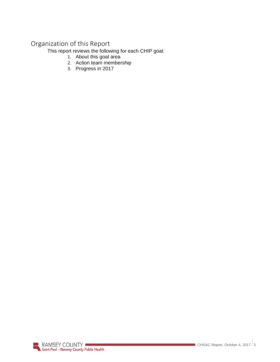# Organization of this Report

This report reviews the following for each CHIP goal:

- 1. About this goal area
- 2. Action team membership
- 3. Progress in 2017

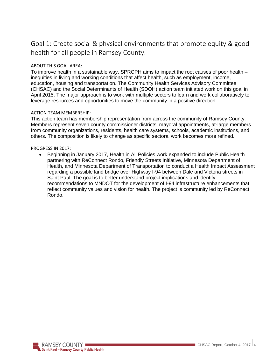### Goal 1: Create social & physical environments that promote equity & good health for all people in Ramsey County.

#### ABOUT THIS GOAL AREA:

To improve health in a sustainable way, SPRCPH aims to impact the root causes of poor health – inequities in living and working conditions that affect health, such as employment, income, education, housing and transportation. The Community Health Services Advisory Committee (CHSAC) and the Social Determinants of Health (SDOH) action team initiated work on this goal in April 2015. The major approach is to work with multiple sectors to learn and work collaboratively to leverage resources and opportunities to move the community in a positive direction.

#### ACTION TEAM MEMBERSHIP:

This action team has membership representation from across the community of Ramsey County. Members represent seven county commissioner districts, mayoral appointments, at-large members from community organizations, residents, health care systems, schools, academic institutions, and others. The composition is likely to change as specific sectoral work becomes more refined.

#### PROGRESS IN 2017:

• Beginning in January 2017, Health in All Policies work expanded to include Public Health partnering with ReConnect Rondo, Friendly Streets Initiative, Minnesota Department of Health, and Minnesota Department of Transportation to conduct a Health Impact Assessment regarding a possible land bridge over Highway I-94 between Dale and Victoria streets in Saint Paul. The goal is to better understand project implications and identify recommendations to MNDOT for the development of I-94 infrastructure enhancements that reflect community values and vision for health. The project is community led by ReConnect Rondo.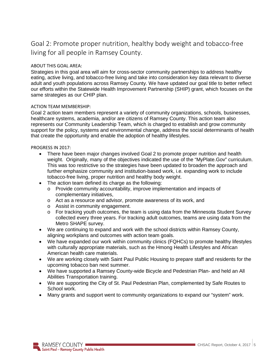### Goal 2: Promote proper nutrition, healthy body weight and tobacco-free living for all people in Ramsey County.

#### ABOUT THIS GOAL AREA:

Strategies in this goal area will aim for cross-sector community partnerships to address healthy eating, active living, and tobacco-free living and take into consideration key data relevant to diverse adult and youth populations across Ramsey County. We have updated our goal title to better reflect our efforts within the Statewide Health Improvement Partnership (SHIP) grant, which focuses on the same strategies as our CHIP plan.

#### ACTION TEAM MEMBERSHIP:

Goal 2 action team members represent a variety of community organizations, schools, businesses, healthcare systems, academia, and/or are citizens of Ramsey County. This action team also represents our Community Leadership Team, which is charged to establish and grow community support for the policy, systems and environmental change, address the social determinants of health that create the opportunity and enable the adoption of healthy lifestyles.

#### PROGRESS IN 2017:

- There have been major changes involved Goal 2 to promote proper nutrition and health weight. Originally, many of the objectives indicated the use of the "MyPlate.Gov" curriculum. This was too restrictive so the strategies have been updated to broaden the approach and further emphasize community and institution-based work, i.e. expanding work to include tobacco-free living, proper nutrition and healthy body weight.
- The action team defined its charge as the following:
	- o Provide community accountability, improve implementation and impacts of complementary initiatives,
	- o Act as a resource and advisor, promote awareness of its work, and
	- o Assist in community engagement.
	- $\circ$  For tracking youth outcomes, the team is using data from the Minnesota Student Survey collected every three years. For tracking adult outcomes, teams are using data from the Metro SHAPE survey.
- We are continuing to expand and work with the school districts within Ramsey County, aligning workplans and outcomes with action team goals.
- We have expanded our work within community clinics (FQHCs) to promote healthy lifestyles with culturally appropriate materials, such as the Hmong Health Lifestyles and African American health care materials.
- We are working closely with Saint Paul Public Housing to prepare staff and residents for the upcoming tobacco ban next summer.
- We have supported a Ramsey County-wide Bicycle and Pedestrian Plan- and held an All Abilities Transportation training.
- We are supporting the City of St. Paul Pedestrian Plan, complemented by Safe Routes to School work.
- Many grants and support went to community organizations to expand our "system" work.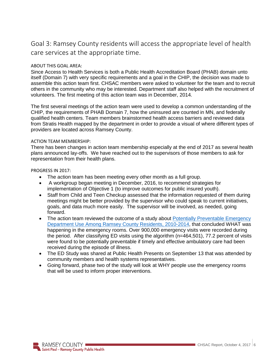### Goal 3: Ramsey County residents will access the appropriate level of health care services at the appropriate time.

#### ABOUT THIS GOAL AREA:

Since Access to Health Services is both a Public Health Accreditation Board (PHAB) domain unto itself (Domain 7) with very specific requirements and a goal in the CHIP, the decision was made to assemble this action team first. CHSAC members were asked to volunteer for the team and to recruit others in the community who may be interested. Department staff also helped with the recruitment of volunteers. The first meeting of this action team was in December, 2014.

The first several meetings of the action team were used to develop a common understanding of the CHIP, the requirements of PHAB Domain 7, how the uninsured are counted in MN, and federally qualified health centers. Team members brainstormed health access barriers and reviewed data from Stratis Health mapped by the department in order to provide a visual of where different types of providers are located across Ramsey County.

#### ACTION TEAM MEMBERSHIP:

There has been changes in action team membership especially at the end of 2017 as several health plans announced lay-offs. We have reached out to the supervisors of those members to ask for representation from their health plans.

PROGRESS IN 2017:

- The action team has been meeting every other month as a full group.
- A workgroup began meeting in December, 2016, to recommend strategies for implementation of Objective 1 (to improve outcomes for public insured youth).
- Staff from Child and Teen Checkup assessed that the information requested of them during meetings might be better provided by the supervisor who could speak to current initiatives, goals, and data much more easily. The supervisor will be involved, as needed, going forward.
- The action team reviewed the outcome of a study about Potentially Preventable Emergency Department Use Among Ramsey County Residents, 2010-2014, that concluded WHAT was happening in the emergency rooms. Over 900,000 emergency visits were recorded during the period. After classifying ED visits using the algorithm (n=464,501), 77.2 percent of visits were found to be potentially preventable if timely and effective ambulatory care had been received during the episode of illness.
- The ED Study was shared at Public Health Presents on September 13 that was attended by community members and health systems representatives.
- Going forward, phase two of the study will look at WHY people use the emergency rooms that will be used to inform proper interventions.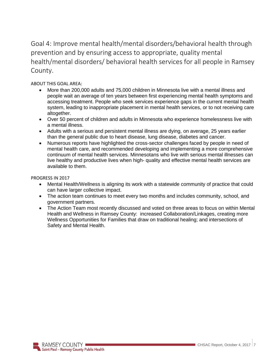Goal 4: Improve mental health/mental disorders/behavioral health through prevention and by ensuring access to appropriate, quality mental health/mental disorders/ behavioral health services for all people in Ramsey County.

ABOUT THIS GOAL AREA:

- More than 200,000 adults and 75,000 children in Minnesota live with a mental illness and people wait an average of ten years between first experiencing mental health symptoms and accessing treatment. People who seek services experience gaps in the current mental health system, leading to inappropriate placement in mental health services, or to not receiving care altogether.
- Over 50 percent of children and adults in Minnesota who experience homelessness live with a mental illness.
- Adults with a serious and persistent mental illness are dying, on average, 25 years earlier than the general public due to heart disease, lung disease, diabetes and cancer.
- Numerous reports have highlighted the cross-sector challenges faced by people in need of mental health care, and recommended developing and implementing a more comprehensive continuum of mental health services. Minnesotans who live with serious mental illnesses can live healthy and productive lives when high- quality and effective mental health services are available to them.

PROGRESS IN 2017

- Mental Health/Wellness is aligning its work with a statewide community of practice that could can have larger collective impact.
- The action team continues to meet every two months and includes community, school, and government partners.
- The Action Team most recently discussed and voted on three areas to focus on within Mental Health and Wellness in Ramsey County: increased Collaboration/Linkages, creating more Wellness Opportunities for Families that draw on traditional healing; and intersections of Safety and Mental Health.